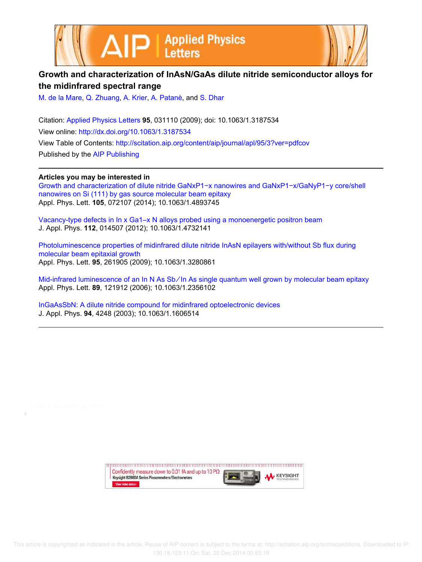



## **Growth and characterization of InAsN/GaAs dilute nitride semiconductor alloys for the midinfrared spectral range**

M. de la Mare, Q. Zhuang, A. Krier, A. Patanè, and S. Dhar

Citation: Applied Physics Letters **95**, 031110 (2009); doi: 10.1063/1.3187534 View online: http://dx.doi.org/10.1063/1.3187534 View Table of Contents: http://scitation.aip.org/content/aip/journal/apl/95/3?ver=pdfcov Published by the AIP Publishing

**Articles you may be interested in**

Growth and characterization of dilute nitride GaNxP1−x nanowires and GaNxP1−x/GaNyP1−y core/shell nanowires on Si (111) by gas source molecular beam epitaxy Appl. Phys. Lett. **105**, 072107 (2014); 10.1063/1.4893745

Vacancy-type defects in In x Ga1–x N alloys probed using a monoenergetic positron beam J. Appl. Phys. **112**, 014507 (2012); 10.1063/1.4732141

Photoluminescence properties of midinfrared dilute nitride InAsN epilayers with/without Sb flux during molecular beam epitaxial growth Appl. Phys. Lett. **95**, 261905 (2009); 10.1063/1.3280861

Mid-infrared luminescence of an In N As Sb∕In As single quantum well grown by molecular beam epitaxy Appl. Phys. Lett. **89**, 121912 (2006); 10.1063/1.2356102

InGaAsSbN: A dilute nitride compound for midinfrared optoelectronic devices J. Appl. Phys. **94**, 4248 (2003); 10.1063/1.1606514

> upun manan manan manan manan manan manan manan manan manan manan Confidently measure down to 0.01 fA and up to 10 P $\Omega$ **KEYSIGHT** Keysight B2980A Series Picoammeters/Electrometers View video demo>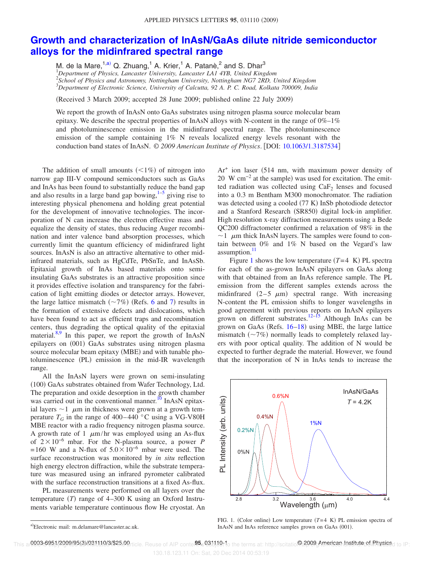## **Growth and characterization of InAsN/GaAs dilute nitride semiconductor alloys for the midinfrared spectral range**

M. de la Mare,<sup>1,a)</sup> Q. Zhuang,<sup>1</sup> A. Krier,<sup>1</sup> A. Patanè,<sup>2</sup> and S. Dhar<sup>3</sup> *Department of Physics, Lancaster University, Lancaster LA1 4YB, United Kingdom School of Physics and Astronomy, Nottingham University, Nottingham NG7 2RD, United Kingdom Department of Electronic Science, University of Calcutta, 92 A. P. C. Road, Kolkata 700009, India*

Received 3 March 2009; accepted 28 June 2009; published online 22 July 2009-

We report the growth of InAsN onto GaAs substrates using nitrogen plasma source molecular beam epitaxy. We describe the spectral properties of InAsN alloys with N-content in the range of  $0\%$ –1% and photoluminescence emission in the midinfrared spectral range. The photoluminescence emission of the sample containing  $1\%$  N reveals localized energy levels resonant with the conduction band states of InAsN. © *2009 American Institute of Physics*. DOI: 10.1063/1.3187534

The addition of small amounts  $\left( \langle 1\% \rangle \right)$  of nitrogen into narrow gap III-V compound semiconductors such as GaAs and InAs has been found to substantially reduce the band gap and also results in a large band gap bowing, $1-5$  giving rise to interesting physical phenomena and holding great potential for the development of innovative technologies. The incorporation of N can increase the electron effective mass and equalize the density of states, thus reducing Auger recombination and inter valence band absorption processes, which currently limit the quantum efficiency of midinfrared light sources. InAsN is also an attractive alternative to other midinfrared materials, such as HgCdTe, PbSnTe, and InAsSb. Epitaxial growth of InAs based materials onto semiinsulating GaAs substrates is an attractive proposition since it provides effective isolation and transparency for the fabrication of light emitting diodes or detector arrays. However, the large lattice mismatch  $(\sim 7\%)$  (Refs. 6 and 7) results in the formation of extensive defects and dislocations, which have been found to act as efficient traps and recombination centers, thus degrading the optical quality of the epitaxial material.<sup>8,9</sup> In this paper, we report the growth of InAsN epilayers on (001) GaAs substrates using nitrogen plasma source molecular beam epitaxy (MBE) and with tunable photoluminescence (PL) emission in the mid-IR wavelength range.

All the InAsN layers were grown on semi-insulating (100) GaAs substrates obtained from Wafer Technology, Ltd. The preparation and oxide desorption in the growth chamber was carried out in the conventional manner.<sup>10</sup> InAsN epitaxial layers  $\sim$  1  $\mu$ m in thickness were grown at a growth temperature  $T_G$  in the range of 400–440 °C using a VG-V80H MBE reactor with a radio frequency nitrogen plasma source. A growth rate of 1  $\mu$ m/hr was employed using an As-flux of  $2 \times 10^{-6}$  mbar. For the N-plasma source, a power *P* = 160 W and a N-flux of  $5.0\times10^{-6}$  mbar were used. The surface reconstruction was monitored by *in situ* reflection high energy electron diffraction, while the substrate temperature was measured using an infrared pyrometer calibrated with the surface reconstruction transitions at a fixed As-flux.

PL measurements were performed on all layers over the temperature  $(T)$  range of 4–300 K using an Oxford Instruments variable temperature continuous flow He cryostat. An

Ar<sup>+</sup> ion laser (514 nm, with maximum power density of 20 W cm<sup>-2</sup> at the sample) was used for excitation. The emitted radiation was collected using  $CaF<sub>2</sub>$  lenses and focused into a 0.3 m Bentham M300 monochromator. The radiation was detected using a cooled (77 K) InSb photodiode detector and a Stanford Research (SR850) digital lock-in amplifier. High resolution x-ray diffraction measurements using a Bede QC200 diffractometer confirmed a relaxation of 98% in the  $\sim$  1  $\mu$ m thick InAsN layers. The samples were found to contain between 0% and 1% N based on the Vegard's law assumption.<sup>1</sup>

Figure 1 shows the low temperature  $(T=4 K)$  PL spectra for each of the as-grown InAsN epilayers on GaAs along with that obtained from an InAs reference sample. The PL emission from the different samples extends across the midinfrared  $(2-5 \mu m)$  spectral range. With increasing N-content the PL emission shifts to longer wavelengths in good agreement with previous reports on InAsN epilayers grown on different substrates.<sup>12–15</sup> Although InAs can be grown on GaAs (Refs.  $16-18$ ) using MBE, the large lattice mismatch  $(\sim 7\%)$  normally leads to completely relaxed layers with poor optical quality. The addition of N would be expected to further degrade the material. However, we found that the incorporation of N in InAs tends to increase the



FIG. 1. (Color online) Low temperature  $(T=4 K)$  PL emission spectra of InAsN and InAs reference samples grown on GaAs (001).

This ar**0003-6951/2009/95(3)/031110/3/\$25.00**rticle. Reuse of AIP conterest.031110t to the terms at: http://scitatio@2009.American.Instituteret.Physicsd to IP:

a)Electronic mail: m.delamare@lancaster.ac.uk.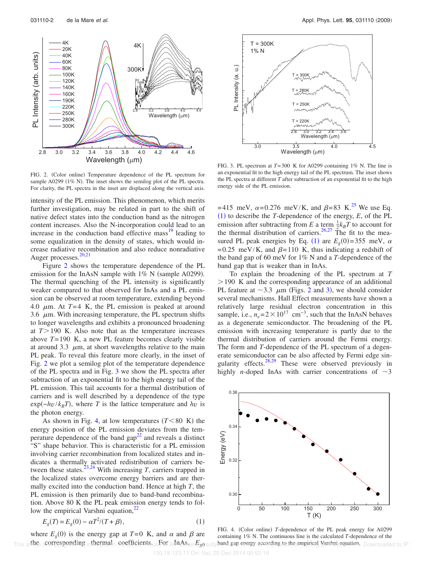2.8 3.0 3.2 3.4 3.6 3.8 4.0 4.2 4.4 4.6 2.8 3.2 3.6 4.0 4.4 Wavelength (μm) 300K PL Intensity (arb. units) Wavelength (μm) 4K 20K 40K 60K 80K 100K 120K 140K 160K 190K 220K 250K 280K 300K 4K

FIG. 2. (Color online) Temperature dependence of the PL spectrum for sample A0299 (1% N). The inset shows the semilog plot of the PL spectra. For clarity, the PL spectra in the inset are displaced along the vertical axis.

intensity of the PL emission. This phenomenon, which merits further investigation, may be related in part to the shift of native defect states into the conduction band as the nitrogen content increases. Also the N-incorporation could lead to an increase in the conduction band effective mass $^{19}$  leading to some equalization in the density of states, which would increase radiative recombination and also reduce nonradiative Auger processes.<sup>20,21</sup>

Figure 2 shows the temperature dependence of the PL emission for the InAsN sample with  $1\%$  N (sample A0299). The thermal quenching of the PL intensity is significantly weaker compared to that observed for InAs and a PL emission can be observed at room temperature, extending beyond 4.0  $\mu$ m. At  $T=4$  K, the PL emission is peaked at around 3.6  $\mu$ m. With increasing temperature, the PL spectrum shifts to longer wavelengths and exhibits a pronounced broadening at  $T > 190$  K. Also note that as the temperature increases above *T*= 190 K, a new PL feature becomes clearly visible at around 3.3  $\mu$ m, at short wavelengths relative to the main PL peak. To reveal this feature more clearly, in the inset of Fig. 2 we plot a semilog plot of the temperature dependence of the PL spectra and in Fig. 3 we show the PL spectra after subtraction of an exponential fit to the high energy tail of the PL emission. This tail accounts for a thermal distribution of carriers and is well described by a dependence of the type  $\exp(-h\nu/k_BT)$ , where *T* is the lattice temperature and *hv* is the photon energy.

As shown in Fig. 4, at low temperatures  $(T<80 K)$  the energy position of the PL emission deviates from the temperature dependence of the band  $\text{gap}^{22}$  and reveals a distinct "S" shape behavior. This is characteristic for a PL emission involving carrier recombination from localized states and indicates a thermally activated redistribution of carriers between these states.<sup>23,24</sup> With increasing *T*, carriers trapped in the localized states overcome energy barriers and are thermally excited into the conduction band. Hence at high *T*, the PL emission is then primarily due to band-band recombination. Above 80 K the PL peak emission energy tends to follow the empirical Varshni equation, $^{22}$ 

$$
E_g(T) = E_g(0) - \alpha T^2 / (T + \beta),
$$
\n(1)

where  $E_g(0)$  is the energy gap at  $T=0$  K, and  $\alpha$  and  $\beta$  are This arthee is corresponding inthermal coefficients us For AInAs ter is subjected are every according to the empirical Narshni equations. Downloaded to IP:



FIG. 3. PL spectrum at *T*= 300 K for A0299 containing 1% N. The line is an exponential fit to the high energy tail of the PL spectrum. The inset shows the PL spectra at different *T* after subtraction of an exponential fit to the high energy side of the PL emission.

= 415 meV,  $\alpha$ = 0.276 meV/K, and  $\beta$ =83 K.<sup>25</sup> We use Eq.  $(1)$  to describe the *T*-dependence of the energy, *E*, of the PL emission after subtracting from *E* a term  $\frac{1}{2}k_BT$  to account for the thermal distribution of carriers.<sup>26,27</sup> The fit to the measured PL peak energies by Eq. (1) are  $E_g(0) = 355$  meV,  $\alpha$ = 0.25 meV/K, and  $\beta$ = 110 K, thus indicating a redshift of the band gap of 60 meV for 1% N and a *T*-dependence of the band gap that is weaker than in InAs.

To explain the broadening of the PL spectrum at *T*  $>190$  K and the corresponding appearance of an additional PL feature at  $\sim$ 3.3  $\mu$ m (Figs. 2 and 3), we should consider several mechanisms. Hall Effect measurements have shown a relatively large residual electron concentration in this sample, i.e.,  $n_e = 2 \times 10^{17}$  cm<sup>-3</sup>, such that the InAsN behaves as a degenerate semiconductor. The broadening of the PL emission with increasing temperature is partly due to the thermal distribution of carriers around the Fermi energy. The form and *T*-dependence of the PL spectrum of a degenerate semiconductor can be also affected by Fermi edge singularity effects.<sup>28,29</sup> These were observed previously in highly *n*-doped InAs with carrier concentrations of  $\sim$ 3



FIG. 4. (Color online) T-dependence of the PL peak energy for A0299 containing 1% N. The continuous line is the calculated *T*-dependence of the